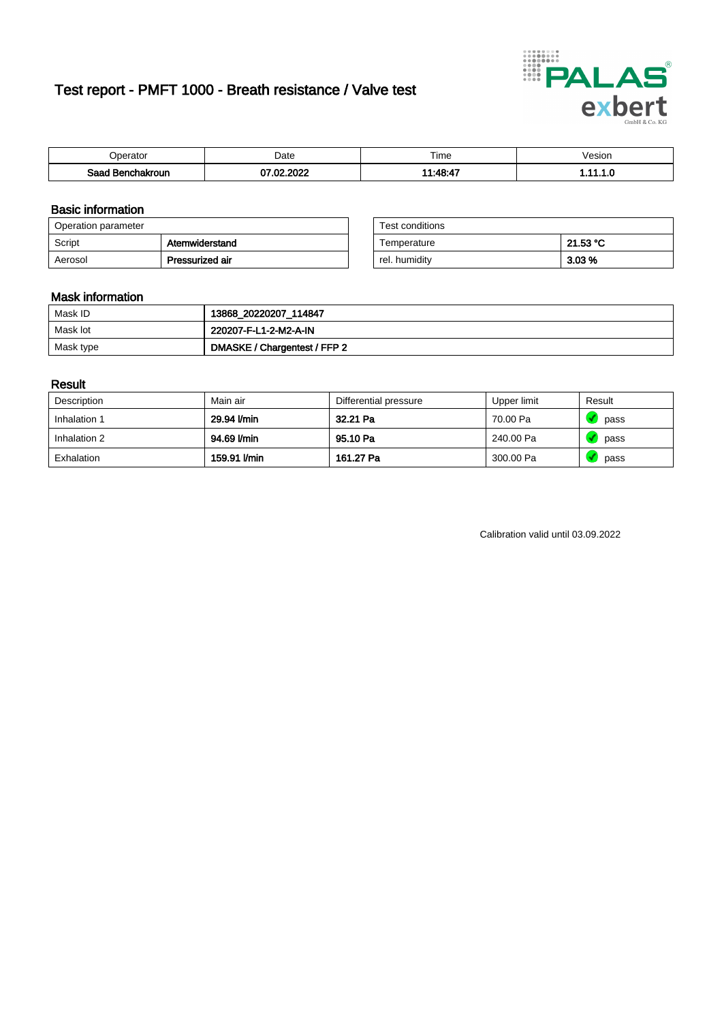# Test report - PMFT 1000 - Breath resistance / Valve test



| )perator               | Date                 | $- \cdot$<br>Гіmе | esion |
|------------------------|----------------------|-------------------|-------|
| המס<br>hakroun<br>saac | , nnns<br>מה דה<br>w | 44.49.47          | .     |

### Basic information

| Operation parameter |                 | Test conditions |          |
|---------------------|-----------------|-----------------|----------|
| Script              | Atemwiderstand  | Temperature     | 21.53 °C |
| Aerosol             | Pressurized air | rel. humidity   | $3.03\%$ |

| Test conditions |          |
|-----------------|----------|
| Temperature     | 21.53 °C |
| rel. humidity   | 3.03%    |

### Mask information

| Mask ID   | 13868_20220207_114847        |
|-----------|------------------------------|
| Mask lot  | 220207-F-L1-2-M2-A-IN        |
| Mask type | DMASKE / Chargentest / FFP 2 |

### Result

| Description  | Main air     | Differential pressure | Upper limit | Result |
|--------------|--------------|-----------------------|-------------|--------|
| Inhalation 1 | 29.94 l/min  | 32.21 Pa              | 70.00 Pa    | pass   |
| Inhalation 2 | 94.69 l/min  | 95.10 Pa              | 240.00 Pa   | pass   |
| Exhalation   | 159.91 I/min | 161.27 Pa             | 300.00 Pa   | pass   |

Calibration valid until 03.09.2022